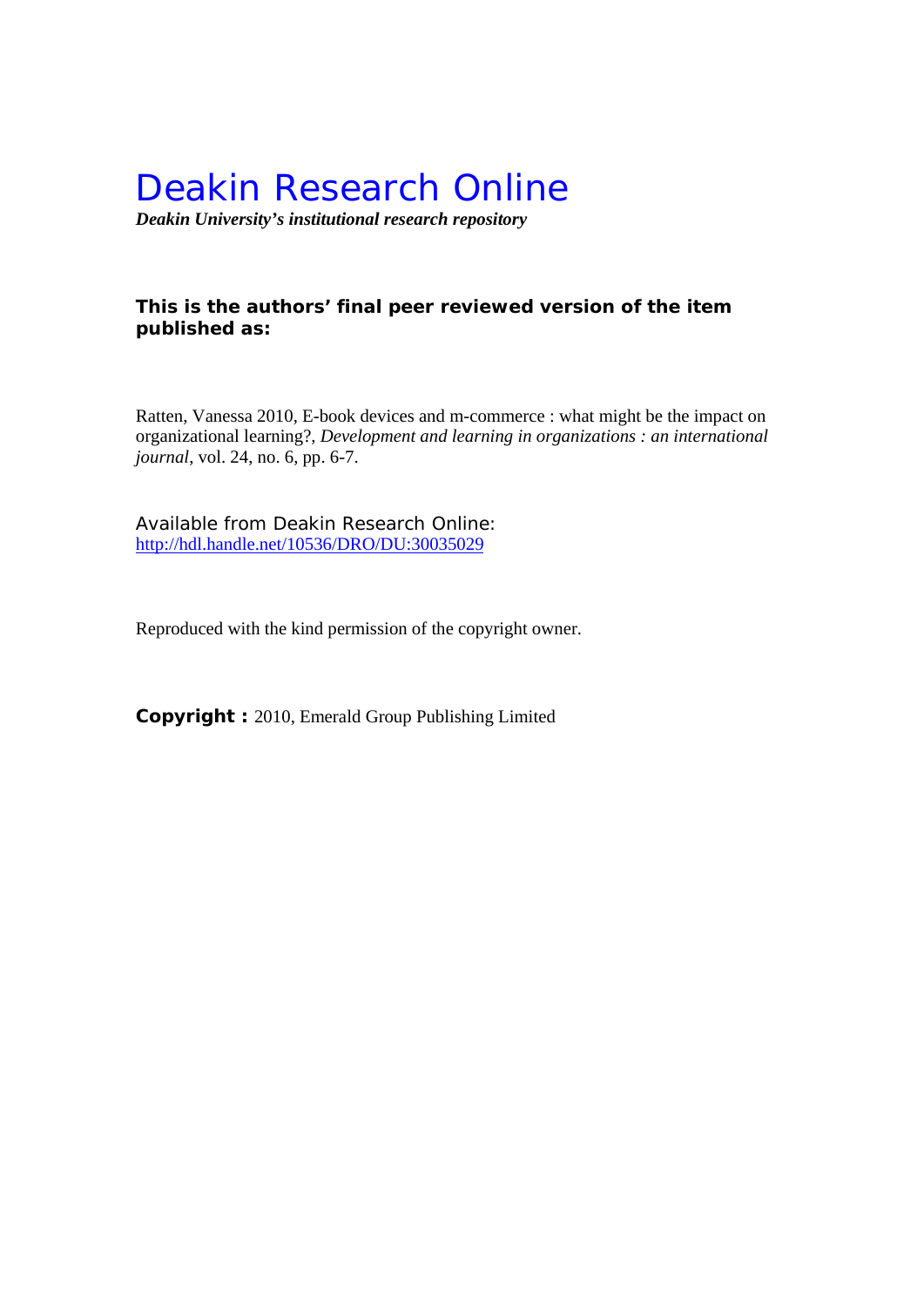# Deakin Research Online

*Deakin University's institutional research repository* 

## **This is the authors' final peer reviewed version of the item published as:**

Ratten, Vanessa 2010, E-book devices and m-commerce : what might be the impact on organizational learning?*, Development and learning in organizations : an international journal*, vol. 24, no. 6, pp. 6-7.

Available from Deakin Research Online: http://hdl.handle.net/10536/DRO/DU:30035029

Reproduced with the kind permission of the copyright owner.

**Copyright :** 2010, Emerald Group Publishing Limited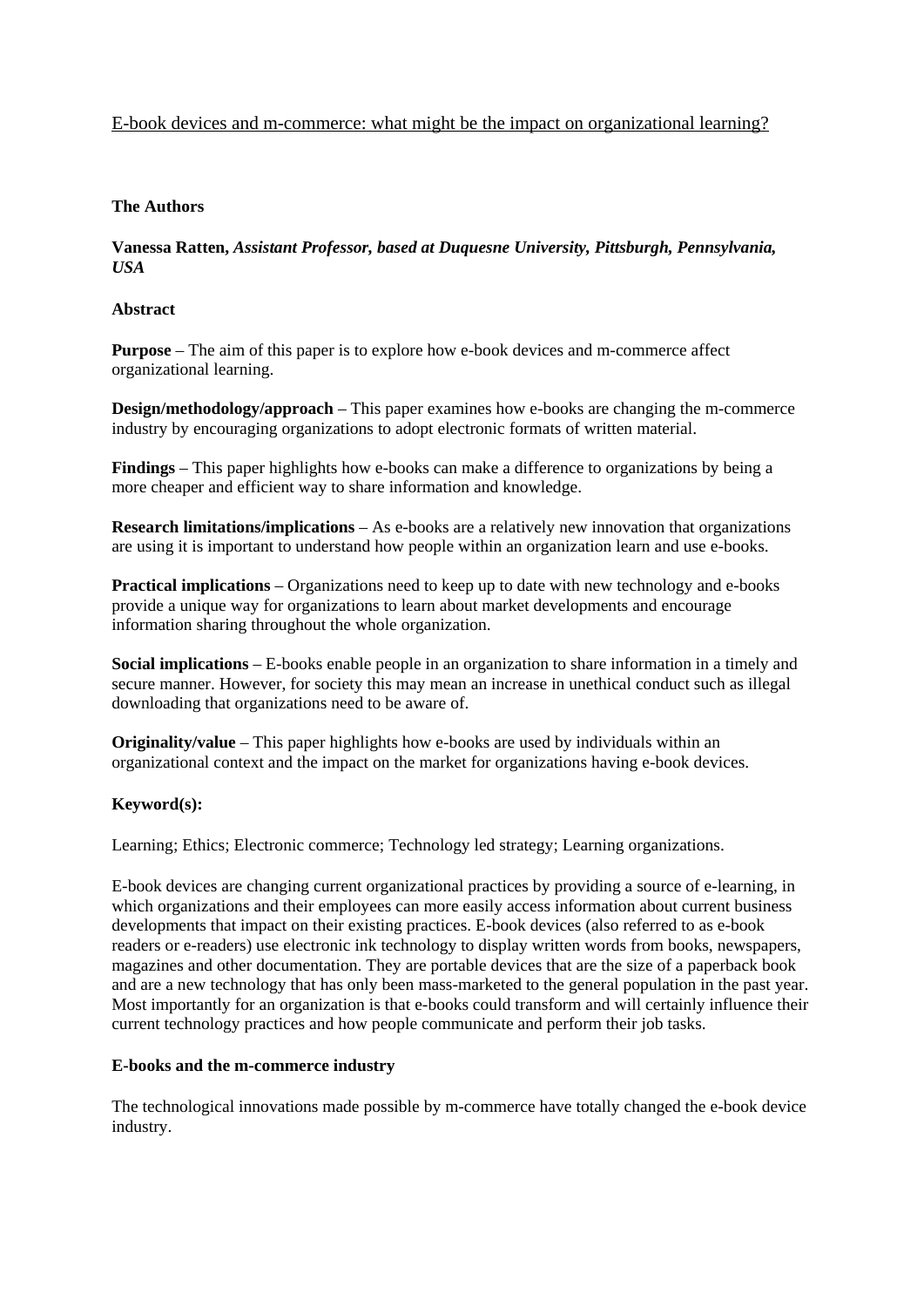## E-book devices and m-commerce: what might be the impact on organizational learning?

## **The Authors**

**Vanessa Ratten,** *Assistant Professor, based at Duquesne University, Pittsburgh, Pennsylvania, USA*

## **Abstract**

**Purpose** – The aim of this paper is to explore how e-book devices and m-commerce affect organizational learning.

**Design/methodology/approach** – This paper examines how e-books are changing the m-commerce industry by encouraging organizations to adopt electronic formats of written material.

**Findings** – This paper highlights how e-books can make a difference to organizations by being a more cheaper and efficient way to share information and knowledge.

**Research limitations/implications** – As e-books are a relatively new innovation that organizations are using it is important to understand how people within an organization learn and use e-books.

**Practical implications** – Organizations need to keep up to date with new technology and e-books provide a unique way for organizations to learn about market developments and encourage information sharing throughout the whole organization.

**Social implications** – E-books enable people in an organization to share information in a timely and secure manner. However, for society this may mean an increase in unethical conduct such as illegal downloading that organizations need to be aware of.

**Originality/value** – This paper highlights how e-books are used by individuals within an organizational context and the impact on the market for organizations having e-book devices.

## **Keyword(s):**

Learning; Ethics; Electronic commerce; Technology led strategy; Learning organizations.

E-book devices are changing current organizational practices by providing a source of e-learning, in which organizations and their employees can more easily access information about current business developments that impact on their existing practices. E-book devices (also referred to as e-book readers or e-readers) use electronic ink technology to display written words from books, newspapers, magazines and other documentation. They are portable devices that are the size of a paperback book and are a new technology that has only been mass-marketed to the general population in the past year. Most importantly for an organization is that e-books could transform and will certainly influence their current technology practices and how people communicate and perform their job tasks.

### **E-books and the m-commerce industry**

The technological innovations made possible by m-commerce have totally changed the e-book device industry.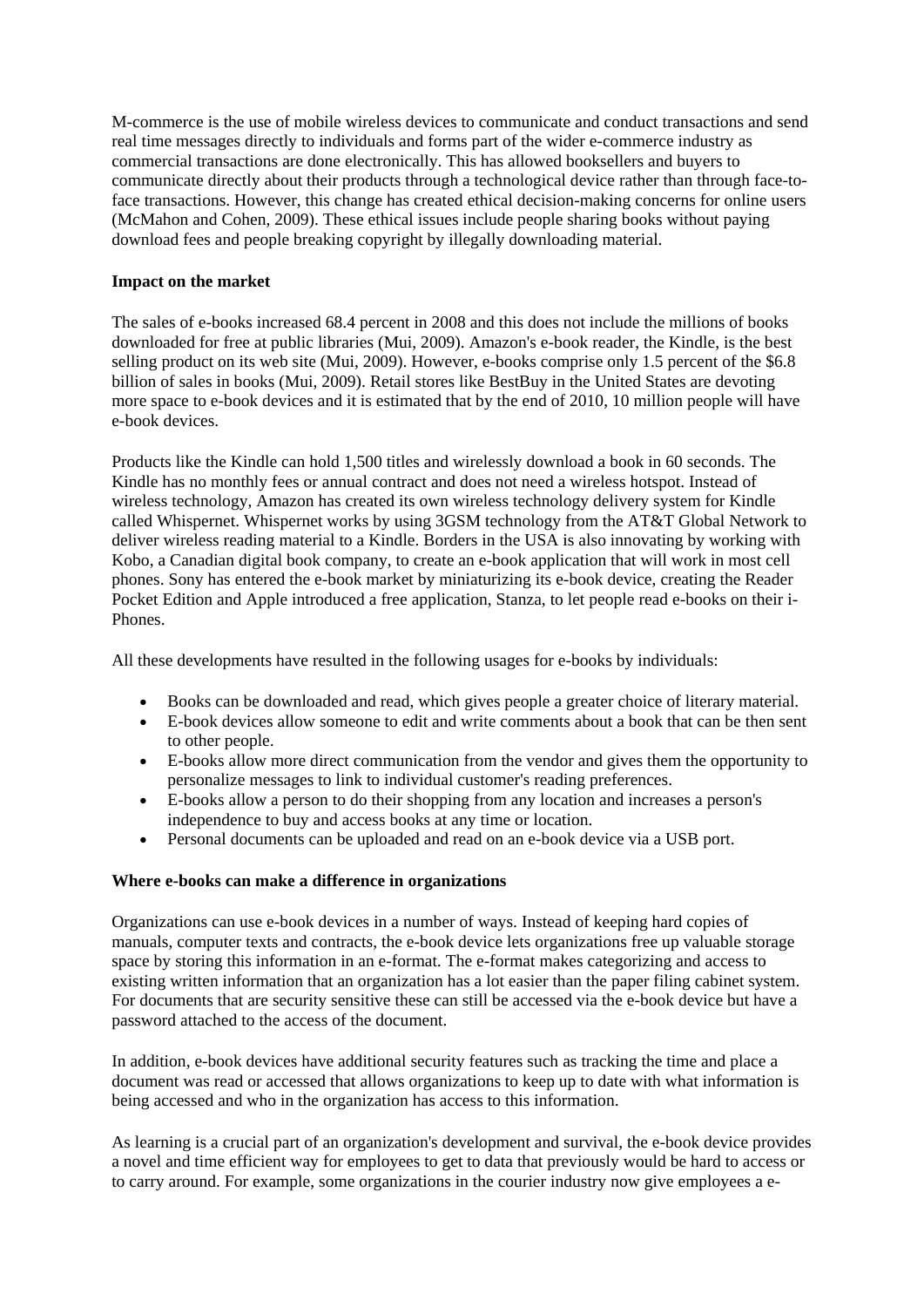M-commerce is the use of mobile wireless devices to communicate and conduct transactions and send real time messages directly to individuals and forms part of the wider e-commerce industry as commercial transactions are done electronically. This has allowed booksellers and buyers to communicate directly about their products through a technological device rather than through face-toface transactions. However, this change has created ethical decision-making concerns for online users (McMahon and Cohen, 2009). These ethical issues include people sharing books without paying download fees and people breaking copyright by illegally downloading material.

### **Impact on the market**

The sales of e-books increased 68.4 percent in 2008 and this does not include the millions of books downloaded for free at public libraries (Mui, 2009). Amazon's e-book reader, the Kindle, is the best selling product on its web site (Mui, 2009). However, e-books comprise only 1.5 percent of the \$6.8 billion of sales in books (Mui, 2009). Retail stores like BestBuy in the United States are devoting more space to e-book devices and it is estimated that by the end of 2010, 10 million people will have e-book devices.

Products like the Kindle can hold 1,500 titles and wirelessly download a book in 60 seconds. The Kindle has no monthly fees or annual contract and does not need a wireless hotspot. Instead of wireless technology, Amazon has created its own wireless technology delivery system for Kindle called Whispernet. Whispernet works by using 3GSM technology from the AT&T Global Network to deliver wireless reading material to a Kindle. Borders in the USA is also innovating by working with Kobo, a Canadian digital book company, to create an e-book application that will work in most cell phones. Sony has entered the e-book market by miniaturizing its e-book device, creating the Reader Pocket Edition and Apple introduced a free application, Stanza, to let people read e-books on their i-Phones.

All these developments have resulted in the following usages for e-books by individuals:

- Books can be downloaded and read, which gives people a greater choice of literary material.
- E-book devices allow someone to edit and write comments about a book that can be then sent to other people.
- E-books allow more direct communication from the vendor and gives them the opportunity to personalize messages to link to individual customer's reading preferences.
- E-books allow a person to do their shopping from any location and increases a person's independence to buy and access books at any time or location.
- Personal documents can be uploaded and read on an e-book device via a USB port.

### **Where e-books can make a difference in organizations**

Organizations can use e-book devices in a number of ways. Instead of keeping hard copies of manuals, computer texts and contracts, the e-book device lets organizations free up valuable storage space by storing this information in an e-format. The e-format makes categorizing and access to existing written information that an organization has a lot easier than the paper filing cabinet system. For documents that are security sensitive these can still be accessed via the e-book device but have a password attached to the access of the document.

In addition, e-book devices have additional security features such as tracking the time and place a document was read or accessed that allows organizations to keep up to date with what information is being accessed and who in the organization has access to this information.

As learning is a crucial part of an organization's development and survival, the e-book device provides a novel and time efficient way for employees to get to data that previously would be hard to access or to carry around. For example, some organizations in the courier industry now give employees a e